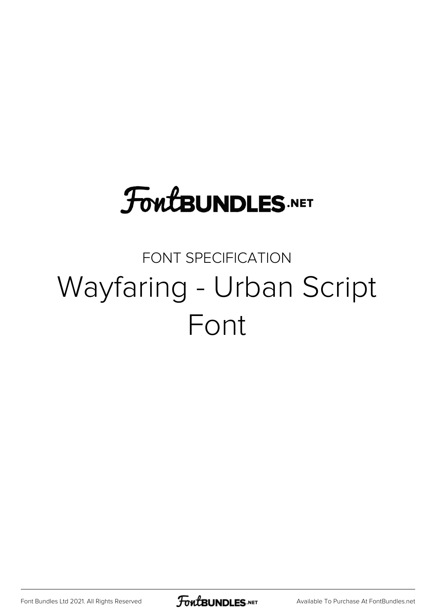# **FoutBUNDLES.NET**

## FONT SPECIFICATION Wayfaring - Urban Script Font

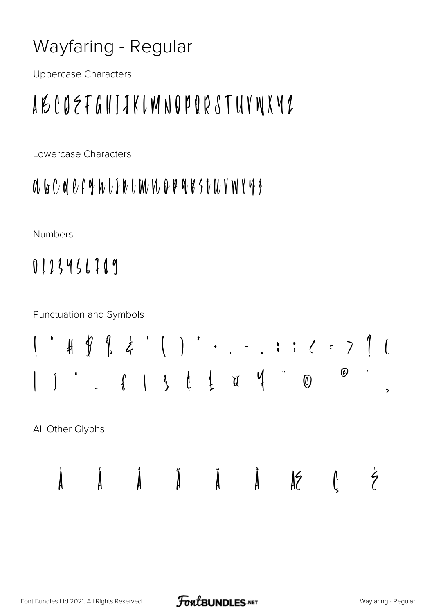#### Wayfaring - Regular

**Uppercase Characters** 

## ABCDEFGHIJKLMNOPORSTUVNXV2

Lowercase Characters

### 

**Numbers** 

0123456789

**Punctuation and Symbols** 



All Other Glyphs

 $\lambda$ 

 $\lambda$ 

 $\AA$   $\ddot{A}$   $\ddot{A}$   $\ddot{A}$   $\ddot{A}$   $\ddot{A}$   $\ddot{A}$ 

 $\zeta$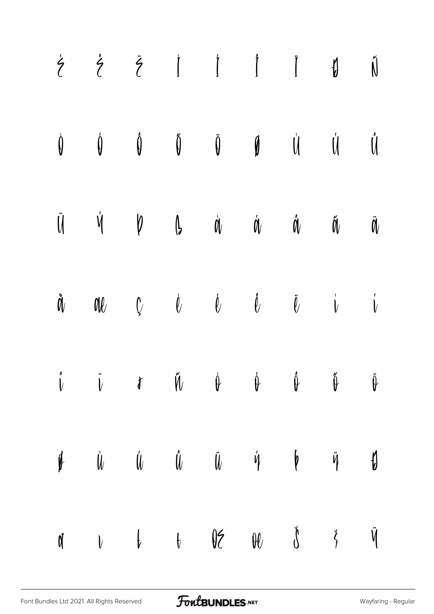| $\dot{\zeta} \quad \dot{\zeta} \quad \ddot{\zeta} \quad \dot{\mathbf{I}} \quad \dot{\mathbf{I}} \quad \ddot{\mathbf{I}} \quad \ddot{\mathbf{J}} \quad \ddot{\mathbf{N}}$                                                                                                                                                                                                                                                                                                                                                        |  |  |  |  |
|---------------------------------------------------------------------------------------------------------------------------------------------------------------------------------------------------------------------------------------------------------------------------------------------------------------------------------------------------------------------------------------------------------------------------------------------------------------------------------------------------------------------------------|--|--|--|--|
| $\begin{matrix} \mathbf{0} & \mathbf{0} & \mathbf{0} & \mathbf{0} & \mathbf{0} & \mathbf{0} & \mathbf{0} & \mathbf{0} & \mathbf{0} & \mathbf{0} & \mathbf{0} & \mathbf{0} & \mathbf{0} & \mathbf{0} & \mathbf{0} & \mathbf{0} & \mathbf{0} & \mathbf{0} & \mathbf{0} & \mathbf{0} & \mathbf{0} & \mathbf{0} & \mathbf{0} & \mathbf{0} & \mathbf{0} & \mathbf{0} & \mathbf{0} & \mathbf{0} & \mathbf{0} & \mathbf{0} & \mathbf{0$                                                                                                |  |  |  |  |
| $\ddot{\mathbf{U}} \qquad \dot{\mathbf{V}} \qquad \mathbf{V} \qquad \mathbf{U} \qquad \dot{\mathbf{U}} \qquad \dot{\mathbf{U}} \qquad \mathbf{U} \qquad \ddot{\mathbf{U}} \qquad \ddot{\mathbf{U}} \qquad \mathbf{U}$                                                                                                                                                                                                                                                                                                           |  |  |  |  |
| $\mathring{\mathsf{d}}\mathring{\mathsf{d}}\qquad \qquad \mathsf{d}\mathsf{d}\qquad \qquad \mathring{\mathsf{d}}\qquad \qquad \mathring{\mathsf{d}}\qquad \qquad \mathring{\mathsf{d}}\qquad \qquad \mathring{\mathsf{d}}\qquad \qquad \mathring{\mathsf{d}}\qquad \qquad \mathring{\mathsf{d}}\qquad \qquad \mathring{\mathsf{d}}\qquad \qquad \mathring{\mathsf{d}}\qquad \qquad \mathring{\mathsf{d}}\qquad \qquad \mathring{\mathsf{d}}\qquad \qquad \mathring{\mathsf{d}}\qquad \qquad \mathring{\mathsf{d}}\qquad \qquad$ |  |  |  |  |
| $\mathring{\nu}$ $\ddot{\nu}$ $\mathscr{U}$ $\mathring{\nu}$ $\psi$ $\psi$ $\mathring{\psi}$ $\ddot{\psi}$                                                                                                                                                                                                                                                                                                                                                                                                                      |  |  |  |  |
| $\begin{array}{ccccccccccccccccc} \psi & & \dot{\psi} & & \dot{\psi} & & \ddot{\psi} & & \ddot{\psi} & & \ddot{\psi} & & \ddot{\psi} & & \psi & & \psi & & \psi \end{array}$                                                                                                                                                                                                                                                                                                                                                    |  |  |  |  |
| $\begin{array}{ccccccccccccccccc} \mathbf{M} & & V & & \mathbf{W} & & \mathbf{M} & & \mathbf{M} & & \mathbf{M} & & \mathbf{M} & & \mathbf{M} & & \mathbf{M} & & \mathbf{M} & & \mathbf{M} & & \mathbf{M} & & \mathbf{M} & & \mathbf{M} & & \mathbf{M} & & \mathbf{M} & & \mathbf{M} & & \mathbf{M} & & \mathbf{M} & & \mathbf{M} & & \mathbf{M} & & \mathbf{M} & & \mathbf{M} & & \mathbf{M} & & \mathbf{M} & & \mathbf{M} & & \mathbf{M}$                                                                                      |  |  |  |  |